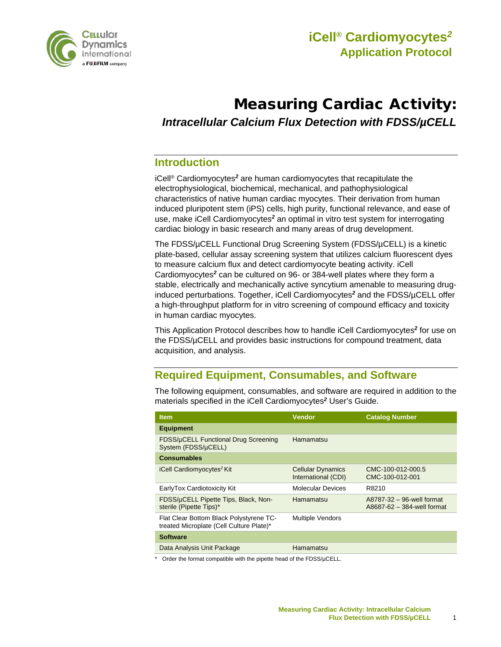

# Measuring Cardiac Activity: *Intracellular Calcium Flux Detection with FDSS/µCELL*

### **Introduction**

iCell® Cardiomyocytes*<sup>2</sup>* are human cardiomyocytes that recapitulate the electrophysiological, biochemical, mechanical, and pathophysiological characteristics of native human cardiac myocytes. Their derivation from human induced pluripotent stem (iPS) cells, high purity, functional relevance, and ease of use, make iCell Cardiomyocytes*<sup>2</sup>* an optimal in vitro test system for interrogating cardiac biology in basic research and many areas of drug development.

The FDSS/µCELL Functional Drug Screening System (FDSS/µCELL) is a kinetic plate-based, cellular assay screening system that utilizes calcium fluorescent dyes to measure calcium flux and detect cardiomyocyte beating activity. iCell Cardiomyocytes*<sup>2</sup>* can be cultured on 96- or 384-well plates where they form a stable, electrically and mechanically active syncytium amenable to measuring druginduced perturbations. Together, iCell Cardiomyocytes*<sup>2</sup>* and the FDSS/µCELL offer a high-throughput platform for in vitro screening of compound efficacy and toxicity in human cardiac myocytes.

This Application Protocol describes how to handle iCell Cardiomyocytes*<sup>2</sup>* for use on the FDSS/µCELL and provides basic instructions for compound treatment, data acquisition, and analysis.

# **Required Equipment, Consumables, and Software**

| <b>Item</b>                                                                         | <b>Vendor</b>                                   | <b>Catalog Number</b>                                   |
|-------------------------------------------------------------------------------------|-------------------------------------------------|---------------------------------------------------------|
| <b>Equipment</b>                                                                    |                                                 |                                                         |
| FDSS/µCELL Functional Drug Screening<br>System (FDSS/µCELL)                         | Hamamatsu                                       |                                                         |
| <b>Consumables</b>                                                                  |                                                 |                                                         |
| iCell Cardiomyocytes <sup>2</sup> Kit                                               | <b>Cellular Dynamics</b><br>International (CDI) | CMC-100-012-000.5<br>CMC-100-012-001                    |
| EarlyTox Cardiotoxicity Kit                                                         | <b>Molecular Devices</b>                        | R8210                                                   |
| FDSS/µCELL Pipette Tips, Black, Non-<br>sterile (Pipette Tips)*                     | Hamamatsu                                       | A8787-32 - 96-well format<br>A8687-62 - 384-well format |
| Flat Clear Bottom Black Polystyrene TC-<br>treated Microplate (Cell Culture Plate)* | <b>Multiple Vendors</b>                         |                                                         |
| <b>Software</b>                                                                     |                                                 |                                                         |
| Data Analysis Unit Package                                                          | Hamamatsu                                       |                                                         |

The following equipment, consumables, and software are required in addition to the materials specified in the iCell Cardiomyocytes*<sup>2</sup>* User's Guide.

Order the format compatible with the pipette head of the  $FDSS/\muCELL$ .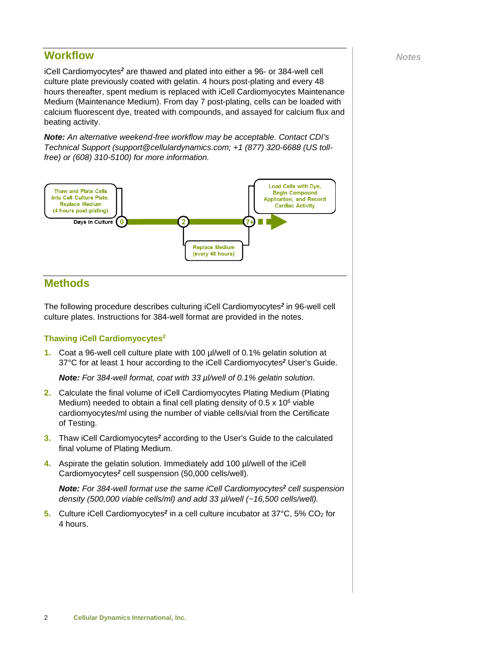# **Workflow** *Notes*

iCell Cardiomyocytes*<sup>2</sup>* are thawed and plated into either a 96- or 384-well cell culture plate previously coated with gelatin. 4 hours post-plating and every 48 hours thereafter, spent medium is replaced with iCell Cardiomyocytes Maintenance Medium (Maintenance Medium). From day 7 post-plating, cells can be loaded with calcium fluorescent dye, treated with compounds, and assayed for calcium flux and beating activity.

*Note: An alternative weekend-free workflow may be acceptable. Contact CDI's Technical Support (support@cellulardynamics.com; +1 (877) 320-6688 (US tollfree) or (608) 310-5100) for more information.*



### **Methods**

The following procedure describes culturing iCell Cardiomyocytes*<sup>2</sup>* in 96-well cell culture plates. Instructions for 384-well format are provided in the notes.

#### **Thawing iCell Cardiomyocytes2**

**1.** Coat a 96-well cell culture plate with 100 µl/well of 0.1% gelatin solution at 37°C for at least 1 hour according to the iCell Cardiomyocytes*<sup>2</sup>* User's Guide.

*Note: For 384-well format, coat with 33 µl/well of 0.1% gelatin solution*.

- **2.** Calculate the final volume of iCell Cardiomyocytes Plating Medium (Plating Medium) needed to obtain a final cell plating density of  $0.5 \times 10^6$  viable cardiomyocytes/ml using the number of viable cells/vial from the Certificate of Testing.
- **3.** Thaw iCell Cardiomyocytes*<sup>2</sup>* according to the User's Guide to the calculated final volume of Plating Medium.
- **4.** Aspirate the gelatin solution. Immediately add 100 µl/well of the iCell Cardiomyocytes*<sup>2</sup>* cell suspension (50,000 cells/well).

*Note: For 384-well format use the same iCell Cardiomyocytes<sup>2</sup> cell suspension density (500,000 viable cells/ml) and add 33 µl/well (~16,500 cells/well).*

**5.** Culture iCell Cardiomyocytes*<sup>2</sup>* in a cell culture incubator at 37°C, 5% CO2 for 4 hours.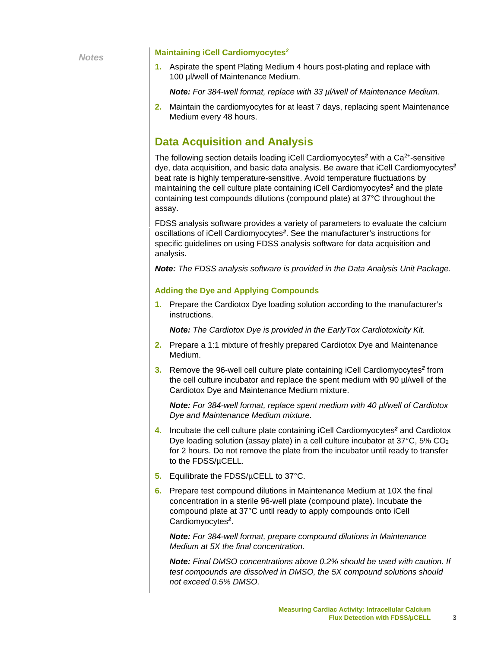*Notes*

#### **Maintaining iCell Cardiomyocytes***<sup>2</sup>*

**1.** Aspirate the spent Plating Medium 4 hours post-plating and replace with 100 µl/well of Maintenance Medium.

*Note: For 384-well format, replace with 33 µl/well of Maintenance Medium.*

**2.** Maintain the cardiomyocytes for at least 7 days, replacing spent Maintenance Medium every 48 hours.

### **Data Acquisition and Analysis**

The following section details loading iCell Cardiomyocytes<sup>2</sup> with a Ca<sup>2+</sup>-sensitive dye, data acquisition, and basic data analysis. Be aware that iCell Cardiomyocytes*<sup>2</sup>* beat rate is highly temperature-sensitive. Avoid temperature fluctuations by maintaining the cell culture plate containing iCell Cardiomyocytes*<sup>2</sup>* and the plate containing test compounds dilutions (compound plate) at 37°C throughout the assay.

FDSS analysis software provides a variety of parameters to evaluate the calcium oscillations of iCell Cardiomyocytes*<sup>2</sup>*. See the manufacturer's instructions for specific guidelines on using FDSS analysis software for data acquisition and analysis.

*Note: The FDSS analysis software is provided in the Data Analysis Unit Package.*

#### **Adding the Dye and Applying Compounds**

**1.** Prepare the Cardiotox Dye loading solution according to the manufacturer's instructions.

*Note: The Cardiotox Dye is provided in the EarlyTox Cardiotoxicity Kit.*

- **2.** Prepare a 1:1 mixture of freshly prepared Cardiotox Dye and Maintenance Medium.
- **3.** Remove the 96-well cell culture plate containing iCell Cardiomyocytes*<sup>2</sup>* from the cell culture incubator and replace the spent medium with 90 µl/well of the Cardiotox Dye and Maintenance Medium mixture.

*Note: For 384-well format, replace spent medium with 40 µl/well of Cardiotox Dye and Maintenance Medium mixture.*

- **4.** Incubate the cell culture plate containing iCell Cardiomyocytes*<sup>2</sup>* and Cardiotox Dye loading solution (assay plate) in a cell culture incubator at 37°C, 5% CO2 for 2 hours. Do not remove the plate from the incubator until ready to transfer to the FDSS/µCELL.
- **5.** Equilibrate the FDSS/µCELL to 37°C.
- **6.** Prepare test compound dilutions in Maintenance Medium at 10X the final concentration in a sterile 96-well plate (compound plate). Incubate the compound plate at 37°C until ready to apply compounds onto iCell Cardiomyocytes*<sup>2</sup>*.

*Note: For 384-well format, prepare compound dilutions in Maintenance Medium at 5X the final concentration.*

*Note: Final DMSO concentrations above 0.2% should be used with caution. If test compounds are dissolved in DMSO, the 5X compound solutions should not exceed 0.5% DMSO.*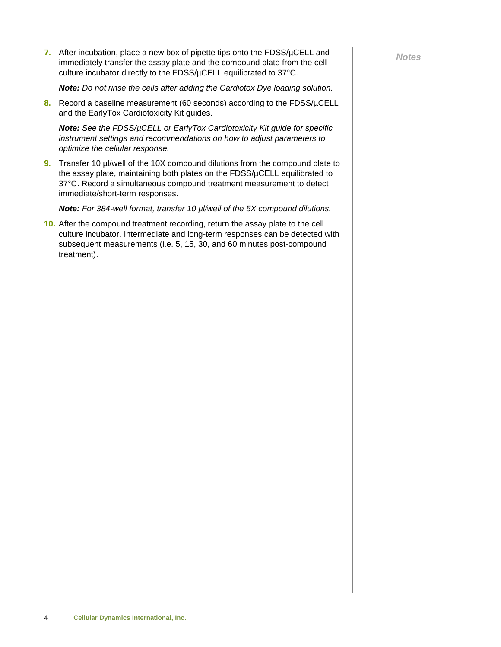**7.** After incubation, place a new box of pipette tips onto the FDSS/µCELL and Motes immediately transfer the assay plate and the compound plate from the cell culture incubator directly to the FDSS/µCELL equilibrated to 37°C.

*Note: Do not rinse the cells after adding the Cardiotox Dye loading solution.*

**8.** Record a baseline measurement (60 seconds) according to the FDSS/µCELL and the EarlyTox Cardiotoxicity Kit guides.

*Note: See the FDSS/µCELL or EarlyTox Cardiotoxicity Kit guide for specific instrument settings and recommendations on how to adjust parameters to optimize the cellular response.*

**9.** Transfer 10 µ//well of the 10X compound dilutions from the compound plate to the assay plate, maintaining both plates on the FDSS/µCELL equilibrated to 37°C. Record a simultaneous compound treatment measurement to detect immediate/short-term responses.

*Note: For 384-well format, transfer 10 µl/well of the 5X compound dilutions.*

**10.** After the compound treatment recording, return the assay plate to the cell culture incubator. Intermediate and long-term responses can be detected with subsequent measurements (i.e. 5, 15, 30, and 60 minutes post-compound treatment).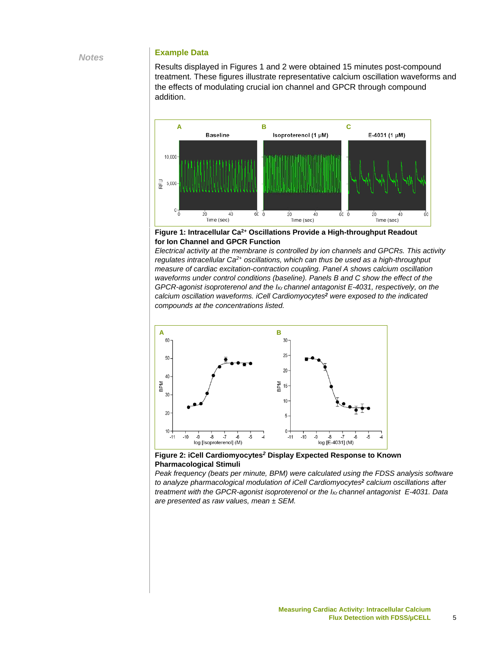#### **Example Data**

Results displayed in Figures 1 and 2 were obtained 15 minutes post-compound treatment. These figures illustrate representative calcium oscillation waveforms and the effects of modulating crucial ion channel and GPCR through compound addition.



**Figure 1: Intracellular Ca2+ Oscillations Provide a High-throughput Readout for Ion Channel and GPCR Function**

*Electrical activity at the membrane is controlled by ion channels and GPCRs. This activity regulates intracellular Ca2+ oscillations, which can thus be used as a high-throughput measure of cardiac excitation-contraction coupling. Panel A shows calcium oscillation waveforms under control conditions (baseline). Panels B and C show the effect of the GPCR-agonist isoproterenol and the IKr channel antagonist E-4031, respectively, on the calcium oscillation waveforms. iCell Cardiomyocytes<sup>2</sup> were exposed to the indicated compounds at the concentrations listed.*



**Figure 2: iCell Cardiomyocytes***<sup>2</sup>* **Display Expected Response to Known Pharmacological Stimuli**

*Peak frequency (beats per minute, BPM) were calculated using the FDSS analysis software to analyze pharmacological modulation of iCell Cardiomyocytes<sup>2</sup> calcium oscillations after treatment with the GPCR-agonist isoproterenol or the IKr channel antagonist E-4031. Data are presented as raw values, mean ± SEM.*

*Notes*